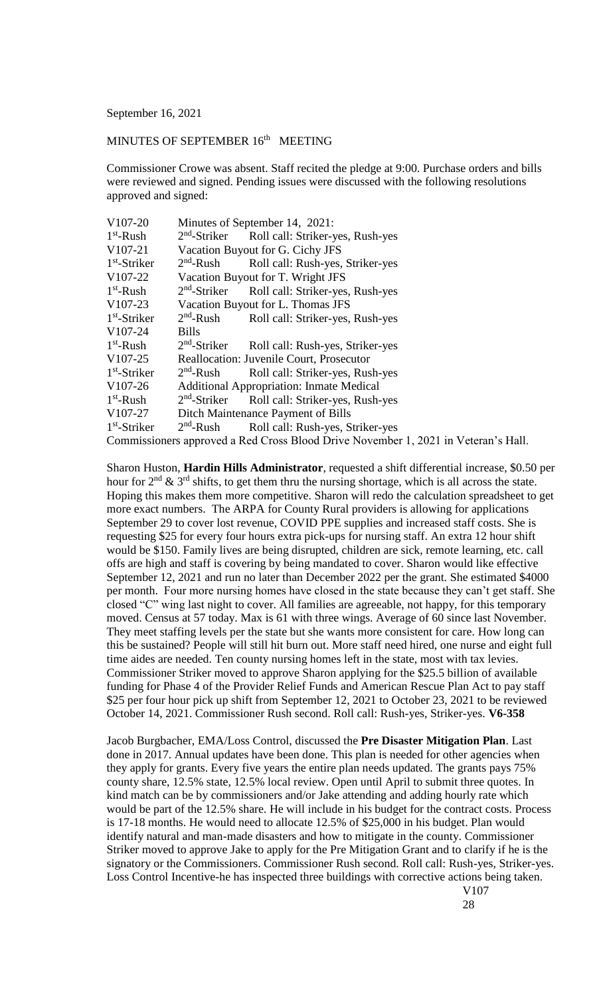September 16, 2021

## MINUTES OF SEPTEMBER 16<sup>th</sup> MEETING

Commissioner Crowe was absent. Staff recited the pledge at 9:00. Purchase orders and bills were reviewed and signed. Pending issues were discussed with the following resolutions approved and signed:

| V107-20                                                                            | Minutes of September 14, 2021:                  |                                                           |
|------------------------------------------------------------------------------------|-------------------------------------------------|-----------------------------------------------------------|
| $1st$ -Rush                                                                        |                                                 | 2 <sup>nd</sup> -Striker Roll call: Striker-yes, Rush-yes |
| $V107-21$                                                                          | Vacation Buyout for G. Cichy JFS                |                                                           |
| $1st$ -Striker                                                                     | $2nd$ -Rush                                     | Roll call: Rush-yes, Striker-yes                          |
| V <sub>107</sub> -22                                                               | Vacation Buyout for T. Wright JFS               |                                                           |
| $1st$ -Rush                                                                        | $2nd$ -Striker                                  | Roll call: Striker-yes, Rush-yes                          |
| V107-23                                                                            | Vacation Buyout for L. Thomas JFS               |                                                           |
| $1st$ -Striker                                                                     | $2nd$ -Rush                                     | Roll call: Striker-yes, Rush-yes                          |
| V107-24                                                                            | <b>Bills</b>                                    |                                                           |
| $1st$ -Rush                                                                        | $2nd$ -Striker                                  | Roll call: Rush-yes, Striker-yes                          |
| V107-25                                                                            | Reallocation: Juvenile Court, Prosecutor        |                                                           |
| $1st$ -Striker                                                                     | $2nd$ -Rush                                     | Roll call: Striker-yes, Rush-yes                          |
| V <sub>107</sub> -26                                                               | <b>Additional Appropriation: Inmate Medical</b> |                                                           |
| $1st$ -Rush                                                                        | $2nd$ -Striker                                  | Roll call: Striker-yes, Rush-yes                          |
| V <sub>107-27</sub>                                                                | Ditch Maintenance Payment of Bills              |                                                           |
| $1st$ -Striker                                                                     | $2nd$ -Rush                                     | Roll call: Rush-yes, Striker-yes                          |
| Commissioners approved a Red Cross Blood Drive November 1, 2021 in Veteran's Hall. |                                                 |                                                           |

Sharon Huston, **Hardin Hills Administrator**, requested a shift differential increase, \$0.50 per hour for  $2<sup>nd</sup>$  &  $3<sup>rd</sup>$  shifts, to get them thru the nursing shortage, which is all across the state. Hoping this makes them more competitive. Sharon will redo the calculation spreadsheet to get more exact numbers. The ARPA for County Rural providers is allowing for applications September 29 to cover lost revenue, COVID PPE supplies and increased staff costs. She is requesting \$25 for every four hours extra pick-ups for nursing staff. An extra 12 hour shift would be \$150. Family lives are being disrupted, children are sick, remote learning, etc. call offs are high and staff is covering by being mandated to cover. Sharon would like effective September 12, 2021 and run no later than December 2022 per the grant. She estimated \$4000 per month. Four more nursing homes have closed in the state because they can't get staff. She closed "C" wing last night to cover. All families are agreeable, not happy, for this temporary moved. Census at 57 today. Max is 61 with three wings. Average of 60 since last November. They meet staffing levels per the state but she wants more consistent for care. How long can this be sustained? People will still hit burn out. More staff need hired, one nurse and eight full time aides are needed. Ten county nursing homes left in the state, most with tax levies. Commissioner Striker moved to approve Sharon applying for the \$25.5 billion of available funding for Phase 4 of the Provider Relief Funds and American Rescue Plan Act to pay staff \$25 per four hour pick up shift from September 12, 2021 to October 23, 2021 to be reviewed October 14, 2021. Commissioner Rush second. Roll call: Rush-yes, Striker-yes. **V6-358**

Jacob Burgbacher, EMA/Loss Control, discussed the **Pre Disaster Mitigation Plan**. Last done in 2017. Annual updates have been done. This plan is needed for other agencies when they apply for grants. Every five years the entire plan needs updated. The grants pays 75% county share, 12.5% state, 12.5% local review. Open until April to submit three quotes. In kind match can be by commissioners and/or Jake attending and adding hourly rate which would be part of the 12.5% share. He will include in his budget for the contract costs. Process is 17-18 months. He would need to allocate 12.5% of \$25,000 in his budget. Plan would identify natural and man-made disasters and how to mitigate in the county. Commissioner Striker moved to approve Jake to apply for the Pre Mitigation Grant and to clarify if he is the signatory or the Commissioners. Commissioner Rush second. Roll call: Rush-yes, Striker-yes. Loss Control Incentive-he has inspected three buildings with corrective actions being taken.

V107

28